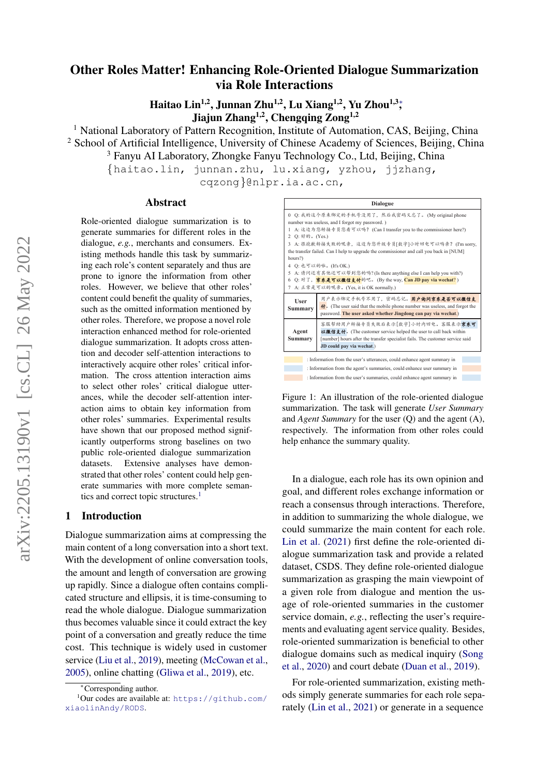# Other Roles Matter! Enhancing Role-Oriented Dialogue Summarization via Role Interactions

Haitao Lin<sup>1,2</sup>, Junnan Zhu<sup>1,2</sup>, Lu Xiang<sup>1,2</sup>, Yu Zhou<sup>1,3</sup>; Jiajun Zhang<sup>1,2</sup>, Chengqing Zong<sup>1,2</sup>

<sup>1</sup> National Laboratory of Pattern Recognition, Institute of Automation, CAS, Beijing, China <sup>2</sup> School of Artificial Intelligence, University of Chinese Academy of Sciences, Beijing, China <sup>3</sup> Fanyu AI Laboratory, Zhongke Fanyu Technology Co., Ltd, Beijing, China

{haitao.lin, junnan.zhu, lu.xiang, yzhou, jjzhang, cqzong}@nlpr.ia.ac.cn,

### Abstract

Role-oriented dialogue summarization is to generate summaries for different roles in the dialogue, *e.g.*, merchants and consumers. Existing methods handle this task by summarizing each role's content separately and thus are prone to ignore the information from other roles. However, we believe that other roles' content could benefit the quality of summaries, such as the omitted information mentioned by other roles. Therefore, we propose a novel role interaction enhanced method for role-oriented dialogue summarization. It adopts cross attention and decoder self-attention interactions to interactively acquire other roles' critical information. The cross attention interaction aims to select other roles' critical dialogue utterances, while the decoder self-attention interaction aims to obtain key information from other roles' summaries. Experimental results have shown that our proposed method significantly outperforms strong baselines on two public role-oriented dialogue summarization datasets. Extensive analyses have demonstrated that other roles' content could help generate summaries with more complete seman-tics and correct topic structures.<sup>[1](#page-0-0)</sup>

#### 1 Introduction

Dialogue summarization aims at compressing the main content of a long conversation into a short text. With the development of online conversation tools, the amount and length of conversation are growing up rapidly. Since a dialogue often contains complicated structure and ellipsis, it is time-consuming to read the whole dialogue. Dialogue summarization thus becomes valuable since it could extract the key point of a conversation and greatly reduce the time cost. This technique is widely used in customer service [\(Liu et al.,](#page-9-0) [2019\)](#page-9-0), meeting [\(McCowan et al.,](#page-9-1) [2005\)](#page-9-1), online chatting [\(Gliwa et al.,](#page-8-0) [2019\)](#page-8-0), etc.

<span id="page-0-1"></span>

Figure 1: An illustration of the role-oriented dialogue summarization. The task will generate *User Summary* and *Agent Summary* for the user (Q) and the agent (A), respectively. The information from other roles could help enhance the summary quality.

In a dialogue, each role has its own opinion and goal, and different roles exchange information or reach a consensus through interactions. Therefore, in addition to summarizing the whole dialogue, we could summarize the main content for each role. [Lin et al.](#page-9-2) [\(2021\)](#page-9-2) first define the role-oriented dialogue summarization task and provide a related dataset, CSDS. They define role-oriented dialogue summarization as grasping the main viewpoint of a given role from dialogue and mention the usage of role-oriented summaries in the customer service domain, *e.g.*, reflecting the user's requirements and evaluating agent service quality. Besides, role-oriented summarization is beneficial to other dialogue domains such as medical inquiry [\(Song](#page-9-3) [et al.,](#page-9-3) [2020\)](#page-9-3) and court debate [\(Duan et al.,](#page-8-1) [2019\)](#page-8-1).

For role-oriented summarization, existing methods simply generate summaries for each role separately [\(Lin et al.,](#page-9-2) [2021\)](#page-9-2) or generate in a sequence

<span id="page-0-0"></span><sup>∗</sup>Corresponding author.

 $1$ Our codes are available at: [https://github.com/](https://github.com/xiaolinAndy/RODS) [xiaolinAndy/RODS](https://github.com/xiaolinAndy/RODS).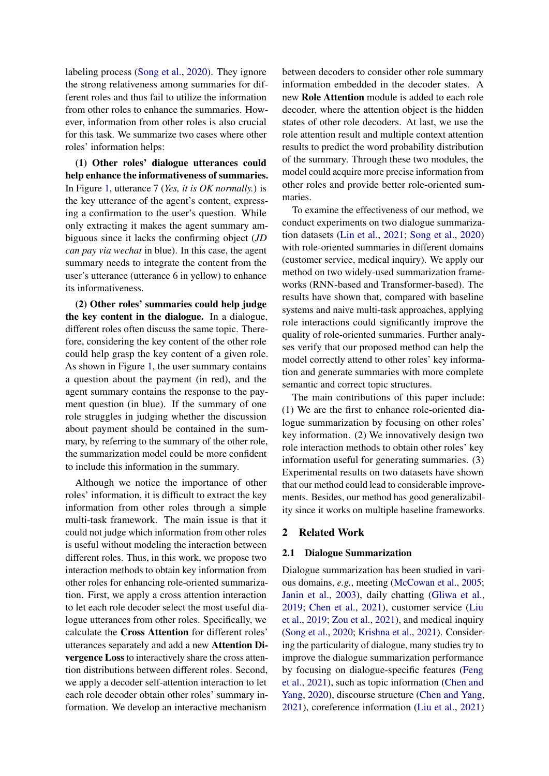labeling process [\(Song et al.,](#page-9-3) [2020\)](#page-9-3). They ignore the strong relativeness among summaries for different roles and thus fail to utilize the information from other roles to enhance the summaries. However, information from other roles is also crucial for this task. We summarize two cases where other roles' information helps:

(1) Other roles' dialogue utterances could help enhance the informativeness of summaries. In Figure [1,](#page-0-1) utterance 7 (*Yes, it is OK normally.*) is the key utterance of the agent's content, expressing a confirmation to the user's question. While only extracting it makes the agent summary ambiguous since it lacks the confirming object (*JD can pay via wechat* in blue). In this case, the agent summary needs to integrate the content from the user's utterance (utterance 6 in yellow) to enhance its informativeness.

(2) Other roles' summaries could help judge the key content in the dialogue. In a dialogue, different roles often discuss the same topic. Therefore, considering the key content of the other role could help grasp the key content of a given role. As shown in Figure [1,](#page-0-1) the user summary contains a question about the payment (in red), and the agent summary contains the response to the payment question (in blue). If the summary of one role struggles in judging whether the discussion about payment should be contained in the summary, by referring to the summary of the other role, the summarization model could be more confident to include this information in the summary.

Although we notice the importance of other roles' information, it is difficult to extract the key information from other roles through a simple multi-task framework. The main issue is that it could not judge which information from other roles is useful without modeling the interaction between different roles. Thus, in this work, we propose two interaction methods to obtain key information from other roles for enhancing role-oriented summarization. First, we apply a cross attention interaction to let each role decoder select the most useful dialogue utterances from other roles. Specifically, we calculate the Cross Attention for different roles' utterances separately and add a new Attention Divergence Loss to interactively share the cross attention distributions between different roles. Second, we apply a decoder self-attention interaction to let each role decoder obtain other roles' summary information. We develop an interactive mechanism

between decoders to consider other role summary information embedded in the decoder states. A new Role Attention module is added to each role decoder, where the attention object is the hidden states of other role decoders. At last, we use the role attention result and multiple context attention results to predict the word probability distribution of the summary. Through these two modules, the model could acquire more precise information from other roles and provide better role-oriented summaries.

To examine the effectiveness of our method, we conduct experiments on two dialogue summarization datasets [\(Lin et al.,](#page-9-2) [2021;](#page-9-2) [Song et al.,](#page-9-3) [2020\)](#page-9-3) with role-oriented summaries in different domains (customer service, medical inquiry). We apply our method on two widely-used summarization frameworks (RNN-based and Transformer-based). The results have shown that, compared with baseline systems and naive multi-task approaches, applying role interactions could significantly improve the quality of role-oriented summaries. Further analyses verify that our proposed method can help the model correctly attend to other roles' key information and generate summaries with more complete semantic and correct topic structures.

The main contributions of this paper include: (1) We are the first to enhance role-oriented dialogue summarization by focusing on other roles' key information. (2) We innovatively design two role interaction methods to obtain other roles' key information useful for generating summaries. (3) Experimental results on two datasets have shown that our method could lead to considerable improvements. Besides, our method has good generalizability since it works on multiple baseline frameworks.

## 2 Related Work

#### 2.1 Dialogue Summarization

Dialogue summarization has been studied in various domains, *e.g.*, meeting [\(McCowan et al.,](#page-9-1) [2005;](#page-9-1) [Janin et al.,](#page-8-2) [2003\)](#page-8-2), daily chatting [\(Gliwa et al.,](#page-8-0) [2019;](#page-8-0) [Chen et al.,](#page-8-3) [2021\)](#page-8-3), customer service [\(Liu](#page-9-0) [et al.,](#page-9-0) [2019;](#page-9-0) [Zou et al.,](#page-10-0) [2021\)](#page-10-0), and medical inquiry [\(Song et al.,](#page-9-3) [2020;](#page-9-3) [Krishna et al.,](#page-8-4) [2021\)](#page-8-4). Considering the particularity of dialogue, many studies try to improve the dialogue summarization performance by focusing on dialogue-specific features [\(Feng](#page-8-5) [et al.,](#page-8-5) [2021\)](#page-8-5), such as topic information [\(Chen and](#page-8-6) [Yang,](#page-8-6) [2020\)](#page-8-6), discourse structure [\(Chen and Yang,](#page-8-7) [2021\)](#page-8-7), coreference information [\(Liu et al.,](#page-9-4) [2021\)](#page-9-4)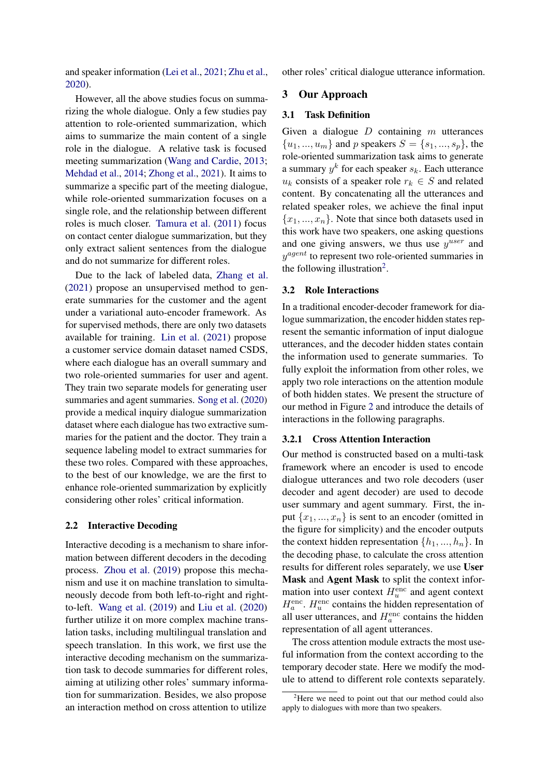and speaker information [\(Lei et al.,](#page-8-8) [2021;](#page-8-8) [Zhu et al.,](#page-10-1) [2020\)](#page-10-1).

However, all the above studies focus on summarizing the whole dialogue. Only a few studies pay attention to role-oriented summarization, which aims to summarize the main content of a single role in the dialogue. A relative task is focused meeting summarization [\(Wang and Cardie,](#page-9-5) [2013;](#page-9-5) [Mehdad et al.,](#page-9-6) [2014;](#page-9-6) [Zhong et al.,](#page-10-2) [2021\)](#page-10-2). It aims to summarize a specific part of the meeting dialogue, while role-oriented summarization focuses on a single role, and the relationship between different roles is much closer. [Tamura et al.](#page-9-7) [\(2011\)](#page-9-7) focus on contact center dialogue summarization, but they only extract salient sentences from the dialogue and do not summarize for different roles.

Due to the lack of labeled data, [Zhang et al.](#page-10-3) [\(2021\)](#page-10-3) propose an unsupervised method to generate summaries for the customer and the agent under a variational auto-encoder framework. As for supervised methods, there are only two datasets available for training. [Lin et al.](#page-9-2) [\(2021\)](#page-9-2) propose a customer service domain dataset named CSDS, where each dialogue has an overall summary and two role-oriented summaries for user and agent. They train two separate models for generating user summaries and agent summaries. [Song et al.](#page-9-3) [\(2020\)](#page-9-3) provide a medical inquiry dialogue summarization dataset where each dialogue has two extractive summaries for the patient and the doctor. They train a sequence labeling model to extract summaries for these two roles. Compared with these approaches, to the best of our knowledge, we are the first to enhance role-oriented summarization by explicitly considering other roles' critical information.

#### 2.2 Interactive Decoding

Interactive decoding is a mechanism to share information between different decoders in the decoding process. [Zhou et al.](#page-10-4) [\(2019\)](#page-10-4) propose this mechanism and use it on machine translation to simultaneously decode from both left-to-right and rightto-left. [Wang et al.](#page-9-8) [\(2019\)](#page-9-8) and [Liu et al.](#page-9-9) [\(2020\)](#page-9-9) further utilize it on more complex machine translation tasks, including multilingual translation and speech translation. In this work, we first use the interactive decoding mechanism on the summarization task to decode summaries for different roles, aiming at utilizing other roles' summary information for summarization. Besides, we also propose an interaction method on cross attention to utilize

other roles' critical dialogue utterance information.

## 3 Our Approach

## 3.1 Task Definition

Given a dialogue  $D$  containing  $m$  utterances  ${u_1, ..., u_m}$  and p speakers  $S = {s_1, ..., s_p}$ , the role-oriented summarization task aims to generate a summary  $y^k$  for each speaker  $s_k$ . Each utterance  $u_k$  consists of a speaker role  $r_k \in S$  and related content. By concatenating all the utterances and related speaker roles, we achieve the final input  ${x_1, ..., x_n}$ . Note that since both datasets used in this work have two speakers, one asking questions and one giving answers, we thus use  $y^{user}$  and  $y^{agent}$  to represent two role-oriented summaries in the following illustration<sup>[2](#page-2-0)</sup>.

## 3.2 Role Interactions

In a traditional encoder-decoder framework for dialogue summarization, the encoder hidden states represent the semantic information of input dialogue utterances, and the decoder hidden states contain the information used to generate summaries. To fully exploit the information from other roles, we apply two role interactions on the attention module of both hidden states. We present the structure of our method in Figure [2](#page-3-0) and introduce the details of interactions in the following paragraphs.

#### 3.2.1 Cross Attention Interaction

Our method is constructed based on a multi-task framework where an encoder is used to encode dialogue utterances and two role decoders (user decoder and agent decoder) are used to decode user summary and agent summary. First, the input  $\{x_1, ..., x_n\}$  is sent to an encoder (omitted in the figure for simplicity) and the encoder outputs the context hidden representation  $\{h_1, ..., h_n\}$ . In the decoding phase, to calculate the cross attention results for different roles separately, we use User Mask and Agent Mask to split the context information into user context  $H_u^{\text{enc}}$  and agent context  $H_a^{\text{enc}}$ .  $H_u^{\text{enc}}$  contains the hidden representation of all user utterances, and  $H_a^{\text{enc}}$  contains the hidden representation of all agent utterances.

The cross attention module extracts the most useful information from the context according to the temporary decoder state. Here we modify the module to attend to different role contexts separately.

<span id="page-2-0"></span> $2^2$ Here we need to point out that our method could also apply to dialogues with more than two speakers.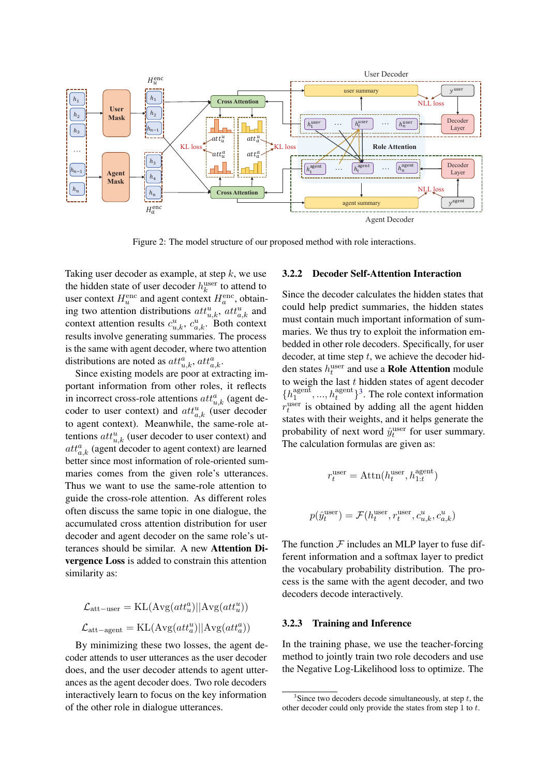<span id="page-3-0"></span>

Figure 2: The model structure of our proposed method with role interactions.

Taking user decoder as example, at step  $k$ , we use the hidden state of user decoder  $h_k^{\text{user}}$  to attend to user context  $H_u^{\text{enc}}$  and agent context  $H_a^{\text{enc}}$ , obtaining two attention distributions  $att_{u,k}^u$ ,  $att_{a,k}^u$  and context attention results  $c_{u,k}^u$ ,  $c_{a,k}^u$ . Both context results involve generating summaries. The process is the same with agent decoder, where two attention distributions are noted as  $att_{u,k}^a, att_{a,k}^a$ .

Since existing models are poor at extracting important information from other roles, it reflects in incorrect cross-role attentions  $att_{u,k}^a$  (agent decoder to user context) and  $att_{a,k}^u$  (user decoder to agent context). Meanwhile, the same-role attentions  $att_{u,k}^u$  (user decoder to user context) and  $att_{a,k}^a$  (agent decoder to agent context) are learned better since most information of role-oriented summaries comes from the given role's utterances. Thus we want to use the same-role attention to guide the cross-role attention. As different roles often discuss the same topic in one dialogue, the accumulated cross attention distribution for user decoder and agent decoder on the same role's utterances should be similar. A new Attention Divergence Loss is added to constrain this attention similarity as:

$$
\begin{aligned} \mathcal{L}_{\text{att-user}} &= \text{KL}(\text{Avg}(\text{att}_u^a)||\text{Avg}(\text{att}_u^u)) \\ \mathcal{L}_{\text{att-agent}} &= \text{KL}(\text{Avg}(\text{att}_a^u)||\text{Avg}(\text{att}_a^a)) \end{aligned}
$$

By minimizing these two losses, the agent decoder attends to user utterances as the user decoder does, and the user decoder attends to agent utterances as the agent decoder does. Two role decoders interactively learn to focus on the key information of the other role in dialogue utterances.

#### 3.2.2 Decoder Self-Attention Interaction

Since the decoder calculates the hidden states that could help predict summaries, the hidden states must contain much important information of summaries. We thus try to exploit the information embedded in other role decoders. Specifically, for user decoder, at time step  $t$ , we achieve the decoder hidden states  $h_t^{\text{user}}$  and use a **Role Attention** module to weigh the last  $t$  hidden states of agent decoder  $\{h_1^{\text{agent}}\}$  $\{a_1^{\text{agent}}, ..., h_t^{\text{agent}}\}^3$  $\{a_1^{\text{agent}}, ..., h_t^{\text{agent}}\}^3$ . The role context information  $r_t^{\text{user}}$  is obtained by adding all the agent hidden states with their weights, and it helps generate the probability of next word  $\hat{y}_t^{\text{user}}$  for user summary. The calculation formulas are given as:

$$
r_t^{\text{user}} = \text{Attn}(h_t^{\text{user}}, h_{1:t}^{\text{agent}})
$$
  

$$
p(\hat{y}_t^{\text{user}}) = \mathcal{F}(h_t^{\text{user}}, r_t^{\text{user}}, c_{u,k}^u, c_{a,k}^u)
$$

The function  $F$  includes an MLP layer to fuse different information and a softmax layer to predict the vocabulary probability distribution. The process is the same with the agent decoder, and two decoders decode interactively.

## 3.2.3 Training and Inference

In the training phase, we use the teacher-forcing method to jointly train two role decoders and use the Negative Log-Likelihood loss to optimize. The

<span id="page-3-1"></span><sup>&</sup>lt;sup>3</sup>Since two decoders decode simultaneously, at step  $t$ , the other decoder could only provide the states from step 1 to t.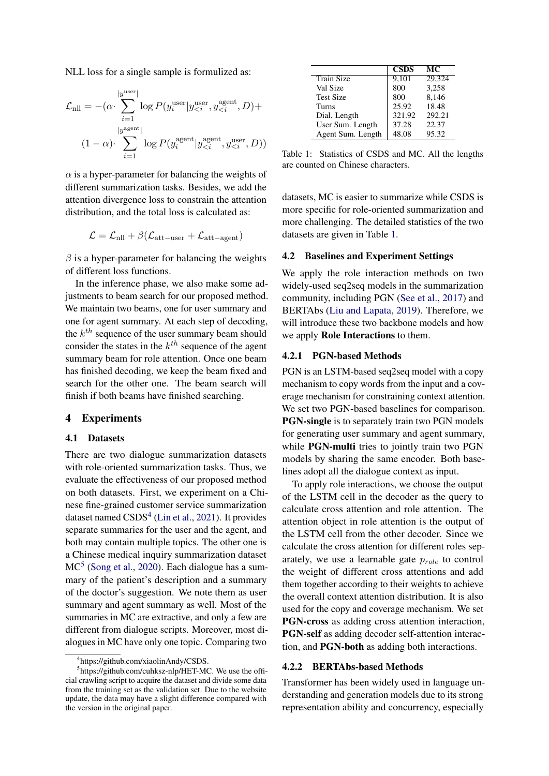NLL loss for a single sample is formulized as:

$$
\mathcal{L}_{\text{nll}} = -(\alpha \cdot \sum_{i=1}^{|y^{\text{user}}|} \log P(y_i^{\text{user}} | y_{\leq i}^{\text{user}}, y_{\leq i}^{\text{agent}}, D) +
$$

$$
(1 - \alpha) \cdot \sum_{i=1}^{|y^{\text{agent}}|} \log P(y_i^{\text{agent}} | y_{\leq i}^{\text{agent}}, y_{\leq i}^{\text{user}}, D))
$$

 $\alpha$  is a hyper-parameter for balancing the weights of different summarization tasks. Besides, we add the attention divergence loss to constrain the attention distribution, and the total loss is calculated as:

$$
\mathcal{L} = \mathcal{L}_{\text{nll}} + \beta(\mathcal{L}_{\text{att-user}} + \mathcal{L}_{\text{att-agent}})
$$

 $\beta$  is a hyper-parameter for balancing the weights of different loss functions.

In the inference phase, we also make some adjustments to beam search for our proposed method. We maintain two beams, one for user summary and one for agent summary. At each step of decoding, the  $k^{th}$  sequence of the user summary beam should consider the states in the  $k^{th}$  sequence of the agent summary beam for role attention. Once one beam has finished decoding, we keep the beam fixed and search for the other one. The beam search will finish if both beams have finished searching.

## 4 Experiments

### 4.1 Datasets

There are two dialogue summarization datasets with role-oriented summarization tasks. Thus, we evaluate the effectiveness of our proposed method on both datasets. First, we experiment on a Chinese fine-grained customer service summarization dataset named CSDS<sup>[4](#page-4-0)</sup> [\(Lin et al.,](#page-9-2) [2021\)](#page-9-2). It provides separate summaries for the user and the agent, and both may contain multiple topics. The other one is a Chinese medical inquiry summarization dataset MC<sup>[5](#page-4-1)</sup> [\(Song et al.,](#page-9-3) [2020\)](#page-9-3). Each dialogue has a summary of the patient's description and a summary of the doctor's suggestion. We note them as user summary and agent summary as well. Most of the summaries in MC are extractive, and only a few are different from dialogue scripts. Moreover, most dialogues in MC have only one topic. Comparing two

<span id="page-4-2"></span>

|                   | <b>CSDS</b> | МC     |
|-------------------|-------------|--------|
| <b>Train Size</b> | 9,101       | 29,324 |
| Val Size          | 800         | 3,258  |
| <b>Test Size</b>  | 800         | 8,146  |
| <b>Turns</b>      | 25.92       | 18.48  |
| Dial. Length      | 321.92      | 292.21 |
| User Sum. Length  | 37.28       | 22.37  |
| Agent Sum. Length | 48.08       | 95.32  |

Table 1: Statistics of CSDS and MC. All the lengths are counted on Chinese characters.

datasets, MC is easier to summarize while CSDS is more specific for role-oriented summarization and more challenging. The detailed statistics of the two datasets are given in Table [1.](#page-4-2)

## 4.2 Baselines and Experiment Settings

We apply the role interaction methods on two widely-used seq2seq models in the summarization community, including PGN [\(See et al.,](#page-9-10) [2017\)](#page-9-10) and BERTAbs [\(Liu and Lapata,](#page-9-11) [2019\)](#page-9-11). Therefore, we will introduce these two backbone models and how we apply Role Interactions to them.

#### 4.2.1 PGN-based Methods

PGN is an LSTM-based seq2seq model with a copy mechanism to copy words from the input and a coverage mechanism for constraining context attention. We set two PGN-based baselines for comparison. PGN-single is to separately train two PGN models for generating user summary and agent summary, while **PGN-multi** tries to jointly train two PGN models by sharing the same encoder. Both baselines adopt all the dialogue context as input.

To apply role interactions, we choose the output of the LSTM cell in the decoder as the query to calculate cross attention and role attention. The attention object in role attention is the output of the LSTM cell from the other decoder. Since we calculate the cross attention for different roles separately, we use a learnable gate  $p_{role}$  to control the weight of different cross attentions and add them together according to their weights to achieve the overall context attention distribution. It is also used for the copy and coverage mechanism. We set PGN-cross as adding cross attention interaction, PGN-self as adding decoder self-attention interaction, and PGN-both as adding both interactions.

#### 4.2.2 BERTAbs-based Methods

Transformer has been widely used in language understanding and generation models due to its strong representation ability and concurrency, especially

<span id="page-4-1"></span><span id="page-4-0"></span><sup>4</sup> https://github.com/xiaolinAndy/CSDS.

<sup>&</sup>lt;sup>5</sup>https://github.com/cuhksz-nlp/HET-MC. We use the official crawling script to acquire the dataset and divide some data from the training set as the validation set. Due to the website update, the data may have a slight difference compared with the version in the original paper.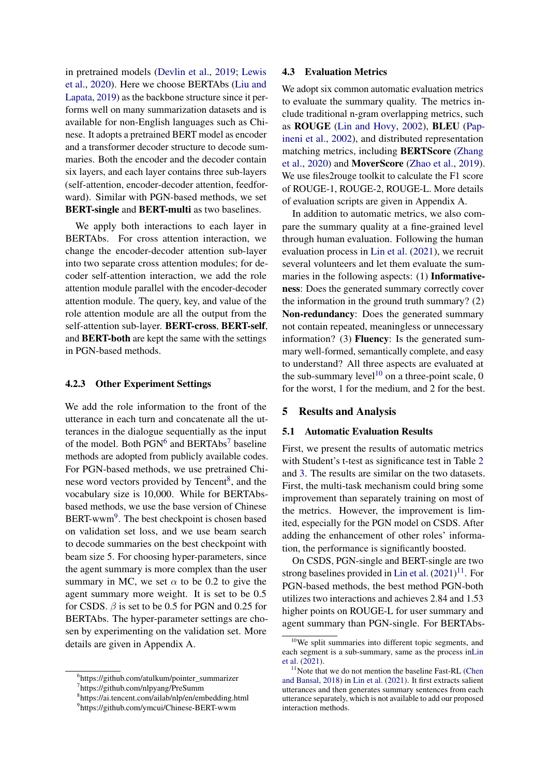in pretrained models [\(Devlin et al.,](#page-8-9) [2019;](#page-8-9) [Lewis](#page-9-12) [et al.,](#page-9-12) [2020\)](#page-9-12). Here we choose BERTAbs [\(Liu and](#page-9-11) [Lapata,](#page-9-11) [2019\)](#page-9-11) as the backbone structure since it performs well on many summarization datasets and is available for non-English languages such as Chinese. It adopts a pretrained BERT model as encoder and a transformer decoder structure to decode summaries. Both the encoder and the decoder contain six layers, and each layer contains three sub-layers (self-attention, encoder-decoder attention, feedforward). Similar with PGN-based methods, we set BERT-single and BERT-multi as two baselines.

We apply both interactions to each layer in BERTAbs. For cross attention interaction, we change the encoder-decoder attention sub-layer into two separate cross attention modules; for decoder self-attention interaction, we add the role attention module parallel with the encoder-decoder attention module. The query, key, and value of the role attention module are all the output from the self-attention sub-layer. BERT-cross, BERT-self, and BERT-both are kept the same with the settings in PGN-based methods.

## 4.2.3 Other Experiment Settings

We add the role information to the front of the utterance in each turn and concatenate all the utterances in the dialogue sequentially as the input of the model. Both  $PGN^6$  $PGN^6$  and BERTAbs<sup>[7](#page-5-1)</sup> baseline methods are adopted from publicly available codes. For PGN-based methods, we use pretrained Chi-nese word vectors provided by Tencent<sup>[8](#page-5-2)</sup>, and the vocabulary size is 10,000. While for BERTAbsbased methods, we use the base version of Chinese BERT-wwm<sup>[9](#page-5-3)</sup>. The best checkpoint is chosen based on validation set loss, and we use beam search to decode summaries on the best checkpoint with beam size 5. For choosing hyper-parameters, since the agent summary is more complex than the user summary in MC, we set  $\alpha$  to be 0.2 to give the agent summary more weight. It is set to be 0.5 for CSDS.  $\beta$  is set to be 0.5 for PGN and 0.25 for BERTAbs. The hyper-parameter settings are chosen by experimenting on the validation set. More details are given in Appendix A.

#### 4.3 Evaluation Metrics

We adopt six common automatic evaluation metrics to evaluate the summary quality. The metrics include traditional n-gram overlapping metrics, such as ROUGE [\(Lin and Hovy,](#page-9-13) [2002\)](#page-9-13), BLEU [\(Pap](#page-9-14)[ineni et al.,](#page-9-14) [2002\)](#page-9-14), and distributed representation matching metrics, including BERTScore [\(Zhang](#page-9-15) [et al.,](#page-9-15) [2020\)](#page-9-15) and MoverScore [\(Zhao et al.,](#page-10-5) [2019\)](#page-10-5). We use files2rouge toolkit to calculate the F1 score of ROUGE-1, ROUGE-2, ROUGE-L. More details of evaluation scripts are given in Appendix A.

In addition to automatic metrics, we also compare the summary quality at a fine-grained level through human evaluation. Following the human evaluation process in [Lin et al.](#page-9-2) [\(2021\)](#page-9-2), we recruit several volunteers and let them evaluate the summaries in the following aspects: (1) Informativeness: Does the generated summary correctly cover the information in the ground truth summary? (2) Non-redundancy: Does the generated summary not contain repeated, meaningless or unnecessary information? (3) Fluency: Is the generated summary well-formed, semantically complete, and easy to understand? All three aspects are evaluated at the sub-summary level<sup>[10](#page-5-4)</sup> on a three-point scale, 0 for the worst, 1 for the medium, and 2 for the best.

## 5 Results and Analysis

## 5.1 Automatic Evaluation Results

First, we present the results of automatic metrics with Student's t-test as significance test in Table [2](#page-6-0) and [3.](#page-6-1) The results are similar on the two datasets. First, the multi-task mechanism could bring some improvement than separately training on most of the metrics. However, the improvement is limited, especially for the PGN model on CSDS. After adding the enhancement of other roles' information, the performance is significantly boosted.

On CSDS, PGN-single and BERT-single are two strong baselines provided in [Lin et al.](#page-9-2)  $(2021)^{11}$  $(2021)^{11}$  $(2021)^{11}$  $(2021)^{11}$ . For PGN-based methods, the best method PGN-both utilizes two interactions and achieves 2.84 and 1.53 higher points on ROUGE-L for user summary and agent summary than PGN-single. For BERTAbs-

<span id="page-5-0"></span><sup>6</sup> https://github.com/atulkum/pointer\_summarizer

<span id="page-5-1"></span><sup>7</sup> https://github.com/nlpyang/PreSumm

<span id="page-5-2"></span><sup>8</sup> https://ai.tencent.com/ailab/nlp/en/embedding.html

<span id="page-5-3"></span><sup>9</sup> https://github.com/ymcui/Chinese-BERT-wwm

<span id="page-5-4"></span><sup>&</sup>lt;sup>10</sup>We split summaries into different topic segments, and each segment is a sub-summary, same as the process i[nLin](#page-9-2) [et al.](#page-9-2) [\(2021\)](#page-9-2).

<span id="page-5-5"></span> $11$ Note that we do not mention the baseline Fast-RL [\(Chen](#page-8-10) [and Bansal,](#page-8-10) [2018\)](#page-8-10) in [Lin et al.](#page-9-2) [\(2021\)](#page-9-2). It first extracts salient utterances and then generates summary sentences from each utterance separately, which is not available to add our proposed interaction methods.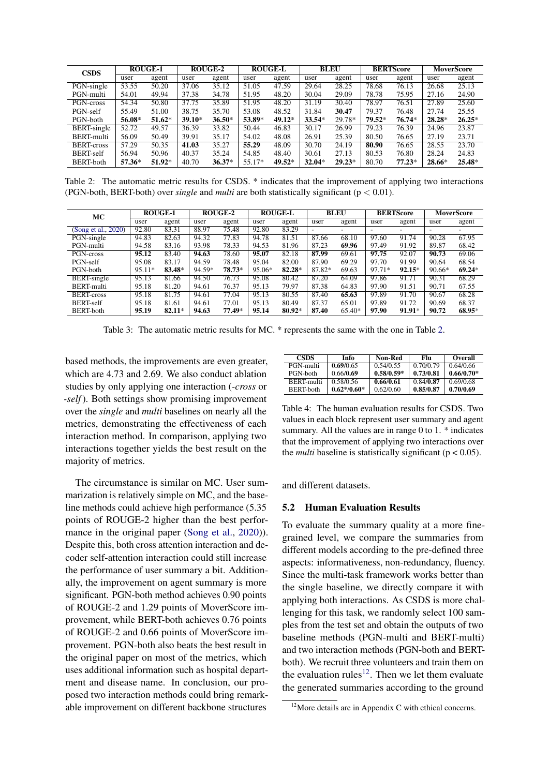<span id="page-6-0"></span>

| <b>CSDS</b>        |        | <b>ROUGE-1</b> |          | <b>ROUGE-2</b> |        | <b>ROUGE-L</b> |          | <b>BLEU</b> |        | <b>BERTScore</b> |          | <b>MoverScore</b> |
|--------------------|--------|----------------|----------|----------------|--------|----------------|----------|-------------|--------|------------------|----------|-------------------|
|                    | user   | agent          | user     | agent          | user   | agent          | user     | agent       | user   | agent            | user     | agent             |
| PGN-single         | 53.55  | 50.20          | 37.06    | 35.12          | 51.05  | 47.59          | 29.64    | 28.25       | 78.68  | 76.13            | 26.68    | 25.13             |
| PGN-multi          | 54.01  | 49.94          | 37.38    | 34.78          | 51.95  | 48.20          | 30.04    | 29.09       | 78.78  | 75.95            | 27.16    | 24.90             |
| PGN-cross          | 54.34  | 50.80          | 37.75    | 35.89          | 51.95  | 48.20          | 31.19    | 30.40       | 78.97  | 76.51            | 27.89    | 25.60             |
| PGN-self           | 55.49  | 51.00          | 38.75    | 35.70          | 53.08  | 48.52          | 31.84    | 30.47       | 79.37  | 76.48            | 27.74    | 25.55             |
| PGN-both           | 56.08* | $51.62*$       | $39.10*$ | $36.50*$       | 53.89* | $49.12*$       | $33.54*$ | 29.78*      | 79.52* | 76.74*           | $28.28*$ | $26.25*$          |
| <b>BERT-single</b> | 52.72  | 49.57          | 36.39    | 33.82          | 50.44  | 46.83          | 30.17    | 26.99       | 79.23  | 76.39            | 24.96    | 23.87             |
| BERT-multi         | 56.09  | 50.49          | 39.91    | 35.17          | 54.02  | 48.08          | 26.91    | 25.39       | 80.50  | 76.65            | 27.19    | 23.71             |
| <b>BERT-cross</b>  | 57.29  | 50.35          | 41.03    | 35.27          | 55.29  | 48.09          | 30.70    | 24.19       | 80.90  | 76.65            | 28.55    | 23.70             |
| <b>BERT-self</b>   | 56.94  | 50.96          | 40.37    | 35.24          | 54.85  | 48.40          | 30.61    | 27.13       | 80.53  | 76.80            | 28.24    | 24.83             |
| BERT-both          | 57.36* | 51.92*         | 40.70    | $36.37*$       | 55.17* | 49.52*         | $32.04*$ | $29.23*$    | 80.70  | $77.23*$         | 28.66*   | 25.48*            |

Table 2: The automatic metric results for CSDS. \* indicates that the improvement of applying two interactions (PGN-both, BERT-both) over *single* and *multi* are both statistically significant (p < 0.01).

<span id="page-6-1"></span>

| MC                  | <b>ROUGE-1</b> |        | ROUGE-2 |        | <b>ROUGE-L</b> |          | <b>BLEU</b> |        | <b>BERTScore</b>         |          | MoverScore |          |
|---------------------|----------------|--------|---------|--------|----------------|----------|-------------|--------|--------------------------|----------|------------|----------|
|                     | user           | agent  | user    | agent  | user           | agent    | user        | agent  | user                     | agent    | user       | agent    |
| (Song et al., 2020) | 92.80          | 83.31  | 88.97   | 75.48  | 92.80          | 83.29    | -           |        | $\overline{\phantom{0}}$ |          | -          | -        |
| PGN-single          | 94.83          | 82.63  | 94.32   | 77.83  | 94.78          | 81.51    | 87.66       | 68.10  | 97.60                    | 91.74    | 90.28      | 67.95    |
| PGN-multi           | 94.58          | 83.16  | 93.98   | 78.33  | 94.53          | 81.96    | 87.23       | 69.96  | 97.49                    | 91.92    | 89.87      | 68.42    |
| PGN-cross           | 95.12          | 83.40  | 94.63   | 78.60  | 95.07          | 82.18    | 87.99       | 69.61  | 97.75                    | 92.07    | 90.73      | 69.06    |
| PGN-self            | 95.08          | 83.17  | 94.59   | 78.48  | 95.04          | 82.00    | 87.90       | 69.29  | 97.70                    | 91.99    | 90.64      | 68.54    |
| PGN-both            | 95.11*         | 83.48* | 94.59*  | 78.73* | 95.06*         | 82.28*   | 87.82*      | 69.63  | 97.71*                   | $92.15*$ | $90.66*$   | $69.24*$ |
| <b>BERT-single</b>  | 95.13          | 81.66  | 94.50   | 76.73  | 95.08          | 80.42    | 87.20       | 64.09  | 97.86                    | 91.71    | 90.31      | 68.29    |
| BERT-multi          | 95.18          | 81.20  | 94.61   | 76.37  | 95.13          | 79.97    | 87.38       | 64.83  | 97.90                    | 91.51    | 90.71      | 67.55    |
| <b>BERT-cross</b>   | 95.18          | 81.75  | 94.61   | 77.04  | 95.13          | 80.55    | 87.40       | 65.63  | 97.89                    | 91.70    | 90.67      | 68.28    |
| <b>BERT-self</b>    | 95.18          | 81.61  | 94.61   | 77.01  | 95.13          | 80.49    | 87.37       | 65.01  | 97.89                    | 91.72    | 90.69      | 68.37    |
| <b>BERT-both</b>    | 95.19          | 82.11* | 94.63   | 77.49* | 95.14          | $80.92*$ | 87.40       | 65.40* | 97.90                    | 91.91*   | 90.72      | 68.95*   |

Table 3: The automatic metric results for MC. \* represents the same with the one in Table [2.](#page-6-0)

based methods, the improvements are even greater, which are 4.73 and 2.69. We also conduct ablation studies by only applying one interaction (*-cross* or *-self*). Both settings show promising improvement over the *single* and *multi* baselines on nearly all the metrics, demonstrating the effectiveness of each interaction method. In comparison, applying two interactions together yields the best result on the majority of metrics.

The circumstance is similar on MC. User summarization is relatively simple on MC, and the baseline methods could achieve high performance (5.35 points of ROUGE-2 higher than the best perfor-mance in the original paper [\(Song et al.,](#page-9-3) [2020\)](#page-9-3)). Despite this, both cross attention interaction and decoder self-attention interaction could still increase the performance of user summary a bit. Additionally, the improvement on agent summary is more significant. PGN-both method achieves 0.90 points of ROUGE-2 and 1.29 points of MoverScore improvement, while BERT-both achieves 0.76 points of ROUGE-2 and 0.66 points of MoverScore improvement. PGN-both also beats the best result in the original paper on most of the metrics, which uses additional information such as hospital department and disease name. In conclusion, our proposed two interaction methods could bring remarkable improvement on different backbone structures

<span id="page-6-3"></span>

| <b>CSDS</b>       | Info          | Non-Red      | Flu       | Overall      |
|-------------------|---------------|--------------|-----------|--------------|
| PGN-multi         | 0.69/0.65     | 0.54/0.55    | 0.70/0.79 | 0.64/0.66    |
| PGN-both          | 0.66/0.69     | $0.58/0.59*$ | 0.73/0.81 | $0.66/0.70*$ |
| <b>BERT-multi</b> | 0.58/0.56     | 0.66/0.61    | 0.84/0.87 | 0.69/0.68    |
| <b>BERT-both</b>  | $0.62*/0.60*$ | 0.62/0.60    | 0.85/0.87 | 0.70/0.69    |

Table 4: The human evaluation results for CSDS. Two values in each block represent user summary and agent summary. All the values are in range 0 to 1. \* indicates that the improvement of applying two interactions over the *multi* baseline is statistically significant ( $p < 0.05$ ).

and different datasets.

### 5.2 Human Evaluation Results

To evaluate the summary quality at a more finegrained level, we compare the summaries from different models according to the pre-defined three aspects: informativeness, non-redundancy, fluency. Since the multi-task framework works better than the single baseline, we directly compare it with applying both interactions. As CSDS is more challenging for this task, we randomly select 100 samples from the test set and obtain the outputs of two baseline methods (PGN-multi and BERT-multi) and two interaction methods (PGN-both and BERTboth). We recruit three volunteers and train them on the evaluation rules<sup>[12](#page-6-2)</sup>. Then we let them evaluate the generated summaries according to the ground

<span id="page-6-2"></span> $12$ More details are in Appendix C with ethical concerns.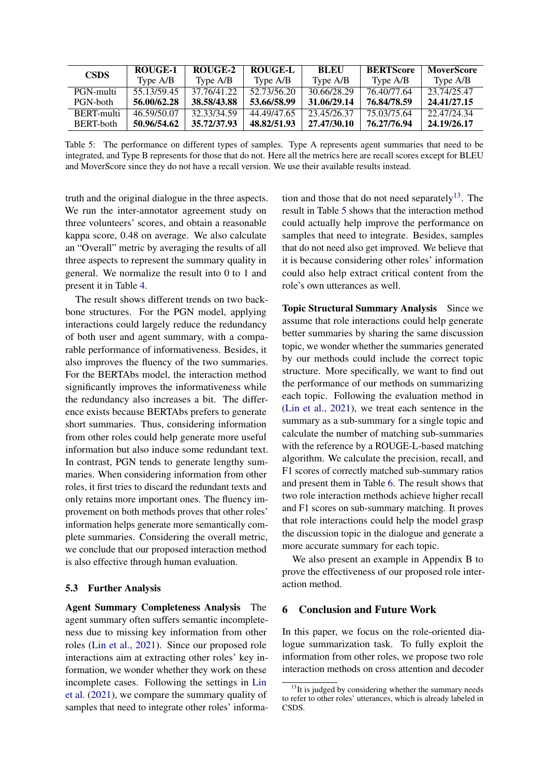<span id="page-7-1"></span>

| <b>CSDS</b> | ROUGE-1     | ROUGE-2     | ROUGE-L     | <b>BLEU</b> | <b>BERTScore</b> | <b>MoverScore</b> |
|-------------|-------------|-------------|-------------|-------------|------------------|-------------------|
|             | Type A/B    | Type A/B    | Type A/B    | Type A/B    | Type A/B         | Type A/B          |
| PGN-multi   | 55.13/59.45 | 37.76/41.22 | 52.73/56.20 | 30.66/28.29 | 76.40/77.64      | 23.74/25.47       |
| PGN-both    | 56.00/62.28 | 38.58/43.88 | 53.66/58.99 | 31,06/29.14 | 76.84/78.59      | 24.41/27.15       |
| BERT-multi  | 46.59/50.07 | 32.33/34.59 | 44.49/47.65 | 23.45/26.37 | 75.03/75.64      | 22.47/24.34       |
| BERT-both   | 50.96/54.62 | 35.72/37.93 | 48.82/51.93 | 27.47/30.10 | 76.27/76.94      | 24.19/26.17       |

Table 5: The performance on different types of samples. Type A represents agent summaries that need to be integrated, and Type B represents for those that do not. Here all the metrics here are recall scores except for BLEU and MoverScore since they do not have a recall version. We use their available results instead.

truth and the original dialogue in the three aspects. We run the inter-annotator agreement study on three volunteers' scores, and obtain a reasonable kappa score, 0.48 on average. We also calculate an "Overall" metric by averaging the results of all three aspects to represent the summary quality in general. We normalize the result into 0 to 1 and present it in Table [4.](#page-6-3)

The result shows different trends on two backbone structures. For the PGN model, applying interactions could largely reduce the redundancy of both user and agent summary, with a comparable performance of informativeness. Besides, it also improves the fluency of the two summaries. For the BERTAbs model, the interaction method significantly improves the informativeness while the redundancy also increases a bit. The difference exists because BERTAbs prefers to generate short summaries. Thus, considering information from other roles could help generate more useful information but also induce some redundant text. In contrast, PGN tends to generate lengthy summaries. When considering information from other roles, it first tries to discard the redundant texts and only retains more important ones. The fluency improvement on both methods proves that other roles' information helps generate more semantically complete summaries. Considering the overall metric, we conclude that our proposed interaction method is also effective through human evaluation.

## 5.3 Further Analysis

Agent Summary Completeness Analysis The agent summary often suffers semantic incompleteness due to missing key information from other roles [\(Lin et al.,](#page-9-2) [2021\)](#page-9-2). Since our proposed role interactions aim at extracting other roles' key information, we wonder whether they work on these incomplete cases. Following the settings in [Lin](#page-9-2) [et al.](#page-9-2) [\(2021\)](#page-9-2), we compare the summary quality of samples that need to integrate other roles' information and those that do not need separately<sup>[13](#page-7-0)</sup>. The result in Table [5](#page-7-1) shows that the interaction method could actually help improve the performance on samples that need to integrate. Besides, samples that do not need also get improved. We believe that it is because considering other roles' information could also help extract critical content from the role's own utterances as well.

Topic Structural Summary Analysis Since we assume that role interactions could help generate better summaries by sharing the same discussion topic, we wonder whether the summaries generated by our methods could include the correct topic structure. More specifically, we want to find out the performance of our methods on summarizing each topic. Following the evaluation method in [\(Lin et al.,](#page-9-2) [2021\)](#page-9-2), we treat each sentence in the summary as a sub-summary for a single topic and calculate the number of matching sub-summaries with the reference by a ROUGE-L-based matching algorithm. We calculate the precision, recall, and F1 scores of correctly matched sub-summary ratios and present them in Table [6.](#page-8-11) The result shows that two role interaction methods achieve higher recall and F1 scores on sub-summary matching. It proves that role interactions could help the model grasp the discussion topic in the dialogue and generate a more accurate summary for each topic.

We also present an example in Appendix B to prove the effectiveness of our proposed role interaction method.

## 6 Conclusion and Future Work

In this paper, we focus on the role-oriented dialogue summarization task. To fully exploit the information from other roles, we propose two role interaction methods on cross attention and decoder

<span id="page-7-0"></span> $13$ It is judged by considering whether the summary needs to refer to other roles' utterances, which is already labeled in CSDS.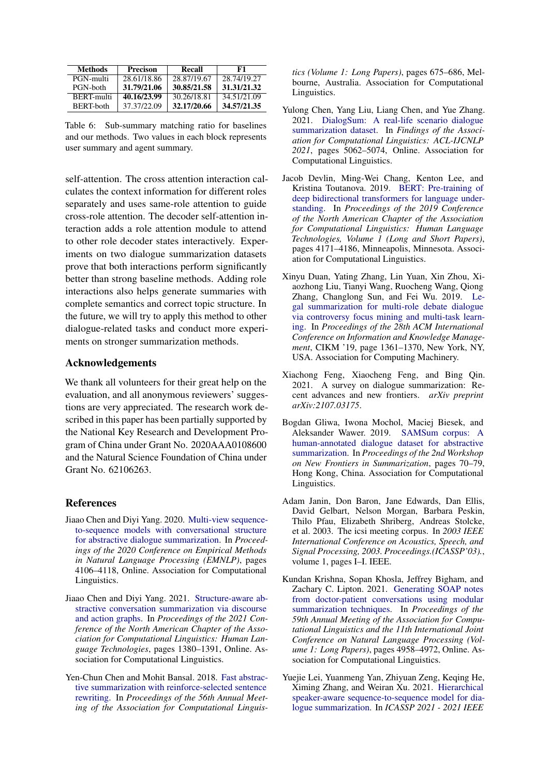<span id="page-8-11"></span>

| <b>Methods</b>    | <b>Precison</b> | Recall      | -61         |
|-------------------|-----------------|-------------|-------------|
| PGN-multi         | 28.61/18.86     | 28.87/19.67 | 28.74/19.27 |
| PGN-both          | 31.79/21.06     | 30.85/21.58 | 31.31/21.32 |
| <b>BERT-multi</b> | 40.16/23.99     | 30.26/18.81 | 34.51/21.09 |
| <b>BERT-both</b>  | 37.37/22.09     | 32.17/20.66 | 34.57/21.35 |

Table 6: Sub-summary matching ratio for baselines and our methods. Two values in each block represents user summary and agent summary.

self-attention. The cross attention interaction calculates the context information for different roles separately and uses same-role attention to guide cross-role attention. The decoder self-attention interaction adds a role attention module to attend to other role decoder states interactively. Experiments on two dialogue summarization datasets prove that both interactions perform significantly better than strong baseline methods. Adding role interactions also helps generate summaries with complete semantics and correct topic structure. In the future, we will try to apply this method to other dialogue-related tasks and conduct more experiments on stronger summarization methods.

## Acknowledgements

We thank all volunteers for their great help on the evaluation, and all anonymous reviewers' suggestions are very appreciated. The research work described in this paper has been partially supported by the National Key Research and Development Program of China under Grant No. 2020AAA0108600 and the Natural Science Foundation of China under Grant No. 62106263.

## **References**

- <span id="page-8-6"></span>Jiaao Chen and Diyi Yang. 2020. [Multi-view sequence](https://doi.org/10.18653/v1/2020.emnlp-main.336)[to-sequence models with conversational structure](https://doi.org/10.18653/v1/2020.emnlp-main.336) [for abstractive dialogue summarization.](https://doi.org/10.18653/v1/2020.emnlp-main.336) In *Proceedings of the 2020 Conference on Empirical Methods in Natural Language Processing (EMNLP)*, pages 4106–4118, Online. Association for Computational Linguistics.
- <span id="page-8-7"></span>Jiaao Chen and Diyi Yang. 2021. [Structure-aware ab](https://doi.org/10.18653/v1/2021.naacl-main.109)[stractive conversation summarization via discourse](https://doi.org/10.18653/v1/2021.naacl-main.109) [and action graphs.](https://doi.org/10.18653/v1/2021.naacl-main.109) In *Proceedings of the 2021 Conference of the North American Chapter of the Association for Computational Linguistics: Human Language Technologies*, pages 1380–1391, Online. Association for Computational Linguistics.
- <span id="page-8-10"></span>Yen-Chun Chen and Mohit Bansal. 2018. [Fast abstrac](https://doi.org/10.18653/v1/P18-1063)[tive summarization with reinforce-selected sentence](https://doi.org/10.18653/v1/P18-1063) [rewriting.](https://doi.org/10.18653/v1/P18-1063) In *Proceedings of the 56th Annual Meeting of the Association for Computational Linguis-*

*tics (Volume 1: Long Papers)*, pages 675–686, Melbourne, Australia. Association for Computational Linguistics.

- <span id="page-8-3"></span>Yulong Chen, Yang Liu, Liang Chen, and Yue Zhang. 2021. [DialogSum: A real-life scenario dialogue](https://doi.org/10.18653/v1/2021.findings-acl.449) [summarization dataset.](https://doi.org/10.18653/v1/2021.findings-acl.449) In *Findings of the Association for Computational Linguistics: ACL-IJCNLP 2021*, pages 5062–5074, Online. Association for Computational Linguistics.
- <span id="page-8-9"></span>Jacob Devlin, Ming-Wei Chang, Kenton Lee, and Kristina Toutanova. 2019. [BERT: Pre-training of](https://doi.org/10.18653/v1/N19-1423) [deep bidirectional transformers for language under](https://doi.org/10.18653/v1/N19-1423)[standing.](https://doi.org/10.18653/v1/N19-1423) In *Proceedings of the 2019 Conference of the North American Chapter of the Association for Computational Linguistics: Human Language Technologies, Volume 1 (Long and Short Papers)*, pages 4171–4186, Minneapolis, Minnesota. Association for Computational Linguistics.
- <span id="page-8-1"></span>Xinyu Duan, Yating Zhang, Lin Yuan, Xin Zhou, Xiaozhong Liu, Tianyi Wang, Ruocheng Wang, Qiong Zhang, Changlong Sun, and Fei Wu. 2019. [Le](https://doi.org/10.1145/3357384.3357940)[gal summarization for multi-role debate dialogue](https://doi.org/10.1145/3357384.3357940) [via controversy focus mining and multi-task learn](https://doi.org/10.1145/3357384.3357940)[ing.](https://doi.org/10.1145/3357384.3357940) In *Proceedings of the 28th ACM International Conference on Information and Knowledge Management*, CIKM '19, page 1361–1370, New York, NY, USA. Association for Computing Machinery.
- <span id="page-8-5"></span>Xiachong Feng, Xiaocheng Feng, and Bing Qin. 2021. A survey on dialogue summarization: Recent advances and new frontiers. *arXiv preprint arXiv:2107.03175*.
- <span id="page-8-0"></span>Bogdan Gliwa, Iwona Mochol, Maciej Biesek, and Aleksander Wawer. 2019. [SAMSum corpus: A](https://doi.org/10.18653/v1/D19-5409) [human-annotated dialogue dataset for abstractive](https://doi.org/10.18653/v1/D19-5409) [summarization.](https://doi.org/10.18653/v1/D19-5409) In *Proceedings of the 2nd Workshop on New Frontiers in Summarization*, pages 70–79, Hong Kong, China. Association for Computational Linguistics.
- <span id="page-8-2"></span>Adam Janin, Don Baron, Jane Edwards, Dan Ellis, David Gelbart, Nelson Morgan, Barbara Peskin, Thilo Pfau, Elizabeth Shriberg, Andreas Stolcke, et al. 2003. The icsi meeting corpus. In *2003 IEEE International Conference on Acoustics, Speech, and Signal Processing, 2003. Proceedings.(ICASSP'03).*, volume 1, pages I–I. IEEE.
- <span id="page-8-4"></span>Kundan Krishna, Sopan Khosla, Jeffrey Bigham, and Zachary C. Lipton. 2021. [Generating SOAP notes](https://doi.org/10.18653/v1/2021.acl-long.384) [from doctor-patient conversations using modular](https://doi.org/10.18653/v1/2021.acl-long.384) [summarization techniques.](https://doi.org/10.18653/v1/2021.acl-long.384) In *Proceedings of the 59th Annual Meeting of the Association for Computational Linguistics and the 11th International Joint Conference on Natural Language Processing (Volume 1: Long Papers)*, pages 4958–4972, Online. Association for Computational Linguistics.
- <span id="page-8-8"></span>Yuejie Lei, Yuanmeng Yan, Zhiyuan Zeng, Keqing He, Ximing Zhang, and Weiran Xu. 2021. [Hierarchical](https://doi.org/10.1109/ICASSP39728.2021.9414547) [speaker-aware sequence-to-sequence model for dia](https://doi.org/10.1109/ICASSP39728.2021.9414547)[logue summarization.](https://doi.org/10.1109/ICASSP39728.2021.9414547) In *ICASSP 2021 - 2021 IEEE*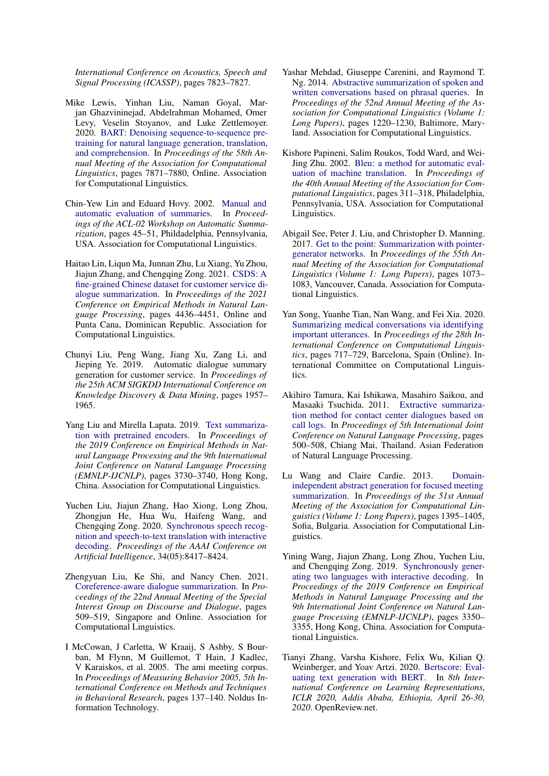*International Conference on Acoustics, Speech and Signal Processing (ICASSP)*, pages 7823–7827.

- <span id="page-9-12"></span>Mike Lewis, Yinhan Liu, Naman Goyal, Marjan Ghazvininejad, Abdelrahman Mohamed, Omer Levy, Veselin Stoyanov, and Luke Zettlemoyer. 2020. [BART: Denoising sequence-to-sequence pre](https://doi.org/10.18653/v1/2020.acl-main.703)[training for natural language generation, translation,](https://doi.org/10.18653/v1/2020.acl-main.703) [and comprehension.](https://doi.org/10.18653/v1/2020.acl-main.703) In *Proceedings of the 58th Annual Meeting of the Association for Computational Linguistics*, pages 7871–7880, Online. Association for Computational Linguistics.
- <span id="page-9-13"></span>Chin-Yew Lin and Eduard Hovy. 2002. [Manual and](https://doi.org/10.3115/1118162.1118168) [automatic evaluation of summaries.](https://doi.org/10.3115/1118162.1118168) In *Proceedings of the ACL-02 Workshop on Automatic Summarization*, pages 45–51, Phildadelphia, Pennsylvania, USA. Association for Computational Linguistics.
- <span id="page-9-2"></span>Haitao Lin, Liqun Ma, Junnan Zhu, Lu Xiang, Yu Zhou, Jiajun Zhang, and Chengqing Zong. 2021. [CSDS: A](https://aclanthology.org/2021.emnlp-main.365) [fine-grained Chinese dataset for customer service di](https://aclanthology.org/2021.emnlp-main.365)[alogue summarization.](https://aclanthology.org/2021.emnlp-main.365) In *Proceedings of the 2021 Conference on Empirical Methods in Natural Language Processing*, pages 4436–4451, Online and Punta Cana, Dominican Republic. Association for Computational Linguistics.
- <span id="page-9-0"></span>Chunyi Liu, Peng Wang, Jiang Xu, Zang Li, and Jieping Ye. 2019. Automatic dialogue summary generation for customer service. In *Proceedings of the 25th ACM SIGKDD International Conference on Knowledge Discovery & Data Mining*, pages 1957– 1965.
- <span id="page-9-11"></span>Yang Liu and Mirella Lapata. 2019. [Text summariza](https://doi.org/10.18653/v1/D19-1387)[tion with pretrained encoders.](https://doi.org/10.18653/v1/D19-1387) In *Proceedings of the 2019 Conference on Empirical Methods in Natural Language Processing and the 9th International Joint Conference on Natural Language Processing (EMNLP-IJCNLP)*, pages 3730–3740, Hong Kong, China. Association for Computational Linguistics.
- <span id="page-9-9"></span>Yuchen Liu, Jiajun Zhang, Hao Xiong, Long Zhou, Zhongjun He, Hua Wu, Haifeng Wang, and Chengqing Zong. 2020. [Synchronous speech recog](https://doi.org/10.1609/aaai.v34i05.6360)[nition and speech-to-text translation with interactive](https://doi.org/10.1609/aaai.v34i05.6360) [decoding.](https://doi.org/10.1609/aaai.v34i05.6360) *Proceedings of the AAAI Conference on Artificial Intelligence*, 34(05):8417–8424.
- <span id="page-9-4"></span>Zhengyuan Liu, Ke Shi, and Nancy Chen. 2021. [Coreference-aware dialogue summarization.](https://aclanthology.org/2021.sigdial-1.53) In *Proceedings of the 22nd Annual Meeting of the Special Interest Group on Discourse and Dialogue*, pages 509–519, Singapore and Online. Association for Computational Linguistics.
- <span id="page-9-1"></span>I McCowan, J Carletta, W Kraaij, S Ashby, S Bourban, M Flynn, M Guillemot, T Hain, J Kadlec, V Karaiskos, et al. 2005. The ami meeting corpus. In *Proceedings of Measuring Behavior 2005, 5th International Conference on Methods and Techniques in Behavioral Research*, pages 137–140. Noldus Information Technology.
- <span id="page-9-6"></span>Yashar Mehdad, Giuseppe Carenini, and Raymond T. Ng. 2014. [Abstractive summarization of spoken and](https://doi.org/10.3115/v1/P14-1115) [written conversations based on phrasal queries.](https://doi.org/10.3115/v1/P14-1115) In *Proceedings of the 52nd Annual Meeting of the Association for Computational Linguistics (Volume 1: Long Papers)*, pages 1220–1230, Baltimore, Maryland. Association for Computational Linguistics.
- <span id="page-9-14"></span>Kishore Papineni, Salim Roukos, Todd Ward, and Wei-Jing Zhu. 2002. [Bleu: a method for automatic eval](https://doi.org/10.3115/1073083.1073135)[uation of machine translation.](https://doi.org/10.3115/1073083.1073135) In *Proceedings of the 40th Annual Meeting of the Association for Computational Linguistics*, pages 311–318, Philadelphia, Pennsylvania, USA. Association for Computational Linguistics.
- <span id="page-9-10"></span>Abigail See, Peter J. Liu, and Christopher D. Manning. 2017. [Get to the point: Summarization with pointer](https://doi.org/10.18653/v1/P17-1099)[generator networks.](https://doi.org/10.18653/v1/P17-1099) In *Proceedings of the 55th Annual Meeting of the Association for Computational Linguistics (Volume 1: Long Papers)*, pages 1073– 1083, Vancouver, Canada. Association for Computational Linguistics.
- <span id="page-9-3"></span>Yan Song, Yuanhe Tian, Nan Wang, and Fei Xia. 2020. [Summarizing medical conversations via identifying](https://doi.org/10.18653/v1/2020.coling-main.63) [important utterances.](https://doi.org/10.18653/v1/2020.coling-main.63) In *Proceedings of the 28th International Conference on Computational Linguistics*, pages 717–729, Barcelona, Spain (Online). International Committee on Computational Linguistics.
- <span id="page-9-7"></span>Akihiro Tamura, Kai Ishikawa, Masahiro Saikou, and Masaaki Tsuchida. 2011. [Extractive summariza](https://aclanthology.org/I11-1056)[tion method for contact center dialogues based on](https://aclanthology.org/I11-1056) [call logs.](https://aclanthology.org/I11-1056) In *Proceedings of 5th International Joint Conference on Natural Language Processing*, pages 500–508, Chiang Mai, Thailand. Asian Federation of Natural Language Processing.
- <span id="page-9-5"></span>Lu Wang and Claire Cardie. 2013. [Domain](https://aclanthology.org/P13-1137)[independent abstract generation for focused meeting](https://aclanthology.org/P13-1137) [summarization.](https://aclanthology.org/P13-1137) In *Proceedings of the 51st Annual Meeting of the Association for Computational Linguistics (Volume 1: Long Papers)*, pages 1395–1405, Sofia, Bulgaria. Association for Computational Linguistics.
- <span id="page-9-8"></span>Yining Wang, Jiajun Zhang, Long Zhou, Yuchen Liu, and Chengqing Zong. 2019. [Synchronously gener](https://doi.org/10.18653/v1/D19-1330)[ating two languages with interactive decoding.](https://doi.org/10.18653/v1/D19-1330) In *Proceedings of the 2019 Conference on Empirical Methods in Natural Language Processing and the 9th International Joint Conference on Natural Language Processing (EMNLP-IJCNLP)*, pages 3350– 3355, Hong Kong, China. Association for Computational Linguistics.
- <span id="page-9-15"></span>Tianyi Zhang, Varsha Kishore, Felix Wu, Kilian Q. Weinberger, and Yoav Artzi. 2020. [Bertscore: Eval](https://openreview.net/forum?id=SkeHuCVFDr)[uating text generation with BERT.](https://openreview.net/forum?id=SkeHuCVFDr) In *8th International Conference on Learning Representations, ICLR 2020, Addis Ababa, Ethiopia, April 26-30, 2020*. OpenReview.net.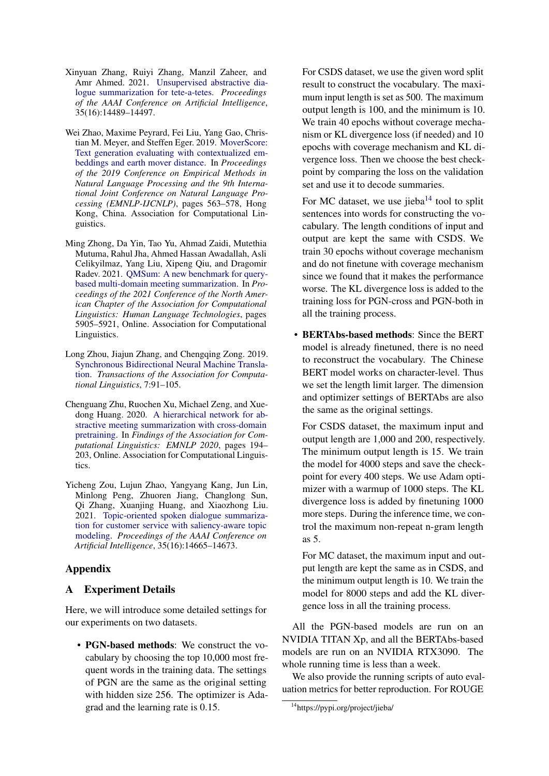- <span id="page-10-3"></span>Xinyuan Zhang, Ruiyi Zhang, Manzil Zaheer, and Amr Ahmed. 2021. [Unsupervised abstractive dia](https://ojs.aaai.org/index.php/AAAI/article/view/17703)[logue summarization for tete-a-tetes.](https://ojs.aaai.org/index.php/AAAI/article/view/17703) *Proceedings of the AAAI Conference on Artificial Intelligence*, 35(16):14489–14497.
- <span id="page-10-5"></span>Wei Zhao, Maxime Peyrard, Fei Liu, Yang Gao, Christian M. Meyer, and Steffen Eger. 2019. [MoverScore:](https://doi.org/10.18653/v1/D19-1053) [Text generation evaluating with contextualized em](https://doi.org/10.18653/v1/D19-1053)[beddings and earth mover distance.](https://doi.org/10.18653/v1/D19-1053) In *Proceedings of the 2019 Conference on Empirical Methods in Natural Language Processing and the 9th International Joint Conference on Natural Language Processing (EMNLP-IJCNLP)*, pages 563–578, Hong Kong, China. Association for Computational Linguistics.
- <span id="page-10-2"></span>Ming Zhong, Da Yin, Tao Yu, Ahmad Zaidi, Mutethia Mutuma, Rahul Jha, Ahmed Hassan Awadallah, Asli Celikyilmaz, Yang Liu, Xipeng Qiu, and Dragomir Radev. 2021. [QMSum: A new benchmark for query](https://doi.org/10.18653/v1/2021.naacl-main.472)[based multi-domain meeting summarization.](https://doi.org/10.18653/v1/2021.naacl-main.472) In *Proceedings of the 2021 Conference of the North American Chapter of the Association for Computational Linguistics: Human Language Technologies*, pages 5905–5921, Online. Association for Computational Linguistics.
- <span id="page-10-4"></span>Long Zhou, Jiajun Zhang, and Chengqing Zong. 2019. [Synchronous Bidirectional Neural Machine Transla](https://doi.org/10.1162/tacl_a_00256)[tion.](https://doi.org/10.1162/tacl_a_00256) *Transactions of the Association for Computational Linguistics*, 7:91–105.
- <span id="page-10-1"></span>Chenguang Zhu, Ruochen Xu, Michael Zeng, and Xuedong Huang. 2020. [A hierarchical network for ab](https://doi.org/10.18653/v1/2020.findings-emnlp.19)[stractive meeting summarization with cross-domain](https://doi.org/10.18653/v1/2020.findings-emnlp.19) [pretraining.](https://doi.org/10.18653/v1/2020.findings-emnlp.19) In *Findings of the Association for Computational Linguistics: EMNLP 2020*, pages 194– 203, Online. Association for Computational Linguistics.
- <span id="page-10-0"></span>Yicheng Zou, Lujun Zhao, Yangyang Kang, Jun Lin, Minlong Peng, Zhuoren Jiang, Changlong Sun, Qi Zhang, Xuanjing Huang, and Xiaozhong Liu. 2021. [Topic-oriented spoken dialogue summariza](https://ojs.aaai.org/index.php/AAAI/article/view/17723)[tion for customer service with saliency-aware topic](https://ojs.aaai.org/index.php/AAAI/article/view/17723) [modeling.](https://ojs.aaai.org/index.php/AAAI/article/view/17723) *Proceedings of the AAAI Conference on Artificial Intelligence*, 35(16):14665–14673.

# Appendix

## A Experiment Details

Here, we will introduce some detailed settings for our experiments on two datasets.

• PGN-based methods: We construct the vocabulary by choosing the top 10,000 most frequent words in the training data. The settings of PGN are the same as the original setting with hidden size 256. The optimizer is Adagrad and the learning rate is 0.15.

For CSDS dataset, we use the given word split result to construct the vocabulary. The maximum input length is set as 500. The maximum output length is 100, and the minimum is 10. We train 40 epochs without coverage mechanism or KL divergence loss (if needed) and 10 epochs with coverage mechanism and KL divergence loss. Then we choose the best checkpoint by comparing the loss on the validation set and use it to decode summaries.

For MC dataset, we use jieba $14$  tool to split sentences into words for constructing the vocabulary. The length conditions of input and output are kept the same with CSDS. We train 30 epochs without coverage mechanism and do not finetune with coverage mechanism since we found that it makes the performance worse. The KL divergence loss is added to the training loss for PGN-cross and PGN-both in all the training process.

• BERTAbs-based methods: Since the BERT model is already finetuned, there is no need to reconstruct the vocabulary. The Chinese BERT model works on character-level. Thus we set the length limit larger. The dimension and optimizer settings of BERTAbs are also the same as the original settings.

For CSDS dataset, the maximum input and output length are 1,000 and 200, respectively. The minimum output length is 15. We train the model for 4000 steps and save the checkpoint for every 400 steps. We use Adam optimizer with a warmup of 1000 steps. The KL divergence loss is added by finetuning 1000 more steps. During the inference time, we control the maximum non-repeat n-gram length as 5.

For MC dataset, the maximum input and output length are kept the same as in CSDS, and the minimum output length is 10. We train the model for 8000 steps and add the KL divergence loss in all the training process.

All the PGN-based models are run on an NVIDIA TITAN Xp, and all the BERTAbs-based models are run on an NVIDIA RTX3090. The whole running time is less than a week.

We also provide the running scripts of auto evaluation metrics for better reproduction. For ROUGE

<span id="page-10-6"></span><sup>14</sup>https://pypi.org/project/jieba/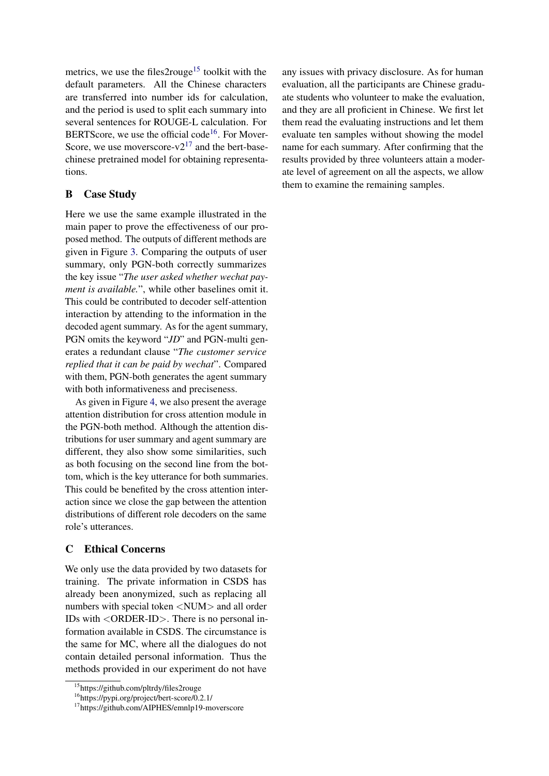metrics, we use the files2rouge<sup>[15](#page-11-0)</sup> toolkit with the default parameters. All the Chinese characters are transferred into number ids for calculation, and the period is used to split each summary into several sentences for ROUGE-L calculation. For BERTScore, we use the official code<sup>[16](#page-11-1)</sup>. For Mover-Score, we use moverscore- $v2^{17}$  $v2^{17}$  $v2^{17}$  and the bert-basechinese pretrained model for obtaining representations.

# B Case Study

Here we use the same example illustrated in the main paper to prove the effectiveness of our proposed method. The outputs of different methods are given in Figure [3.](#page-12-0) Comparing the outputs of user summary, only PGN-both correctly summarizes the key issue "*The user asked whether wechat payment is available.*", while other baselines omit it. This could be contributed to decoder self-attention interaction by attending to the information in the decoded agent summary. As for the agent summary, PGN omits the keyword "*JD*" and PGN-multi generates a redundant clause "*The customer service replied that it can be paid by wechat*". Compared with them, PGN-both generates the agent summary with both informativeness and preciseness.

As given in Figure [4,](#page-13-0) we also present the average attention distribution for cross attention module in the PGN-both method. Although the attention distributions for user summary and agent summary are different, they also show some similarities, such as both focusing on the second line from the bottom, which is the key utterance for both summaries. This could be benefited by the cross attention interaction since we close the gap between the attention distributions of different role decoders on the same role's utterances.

## C Ethical Concerns

We only use the data provided by two datasets for training. The private information in CSDS has already been anonymized, such as replacing all numbers with special token <NUM> and all order IDs with <ORDER-ID>. There is no personal information available in CSDS. The circumstance is the same for MC, where all the dialogues do not contain detailed personal information. Thus the methods provided in our experiment do not have

any issues with privacy disclosure. As for human evaluation, all the participants are Chinese graduate students who volunteer to make the evaluation, and they are all proficient in Chinese. We first let them read the evaluating instructions and let them evaluate ten samples without showing the model name for each summary. After confirming that the results provided by three volunteers attain a moderate level of agreement on all the aspects, we allow them to examine the remaining samples.

<span id="page-11-0"></span><sup>15</sup>https://github.com/pltrdy/files2rouge

<span id="page-11-1"></span><sup>16</sup>https://pypi.org/project/bert-score/0.2.1/

<span id="page-11-2"></span><sup>17</sup>https://github.com/AIPHES/emnlp19-moverscore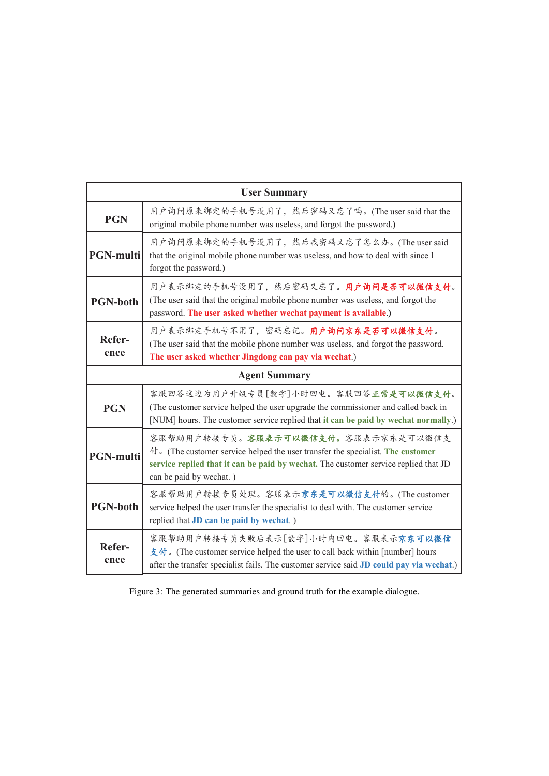<span id="page-12-0"></span>

| <b>User Summary</b> |                                                                                                                                                                                                                                        |  |  |  |  |
|---------------------|----------------------------------------------------------------------------------------------------------------------------------------------------------------------------------------------------------------------------------------|--|--|--|--|
| <b>PGN</b>          | 用户询问原来绑定的手机号没用了, 然后密码又忘了吗。(The user said that the<br>original mobile phone number was useless, and forgot the password.)                                                                                                               |  |  |  |  |
| <b>PGN-multi</b>    | 用户询问原来绑定的手机号没用了, 然后我密码又忘了怎么办。(The user said<br>that the original mobile phone number was useless, and how to deal with since I<br>forgot the password.)                                                                                |  |  |  |  |
| <b>PGN-both</b>     | 用户表示绑定的手机号没用了,然后密码又忘了。用户询问是否可以微信支付。<br>(The user said that the original mobile phone number was useless, and forgot the<br>password. The user asked whether wechat payment is available.)                                              |  |  |  |  |
| Refer-<br>ence      | 用户表示绑定手机号不用了,密码忘记。用户询问京东是否可以微信支付。<br>(The user said that the mobile phone number was useless, and forgot the password.<br>The user asked whether Jingdong can pay via wechat.)                                                         |  |  |  |  |
|                     | <b>Agent Summary</b>                                                                                                                                                                                                                   |  |  |  |  |
| <b>PGN</b>          | 客服回答这边为用户升级专员[数字]小时回电。客服回答正常是可以微信支付。<br>(The customer service helped the user upgrade the commissioner and called back in<br>[NUM] hours. The customer service replied that it can be paid by wechat normally.)                        |  |  |  |  |
| <b>PGN-multi</b>    | 客服帮助用户转接专员。客服表示可以微信支付。客服表示京东是可以微信支<br>付 。(The customer service helped the user transfer the specialist. The customer<br>service replied that it can be paid by wechat. The customer service replied that JD<br>can be paid by wechat.) |  |  |  |  |
| <b>PGN-both</b>     | 客服帮助用户转接专员处理。客服表示京东是可以微信支付的。(The customer<br>service helped the user transfer the specialist to deal with. The customer service<br>replied that JD can be paid by wechat.)                                                             |  |  |  |  |
| Refer-<br>ence      | 客服帮助用户转接专员失败后表示[数字]小时内回电。客服表示京东可以微信<br>支付。(The customer service helped the user to call back within [number] hours<br>after the transfer specialist fails. The customer service said JD could pay via wechat.)                         |  |  |  |  |

Figure 3: The generated summaries and ground truth for the example dialogue.